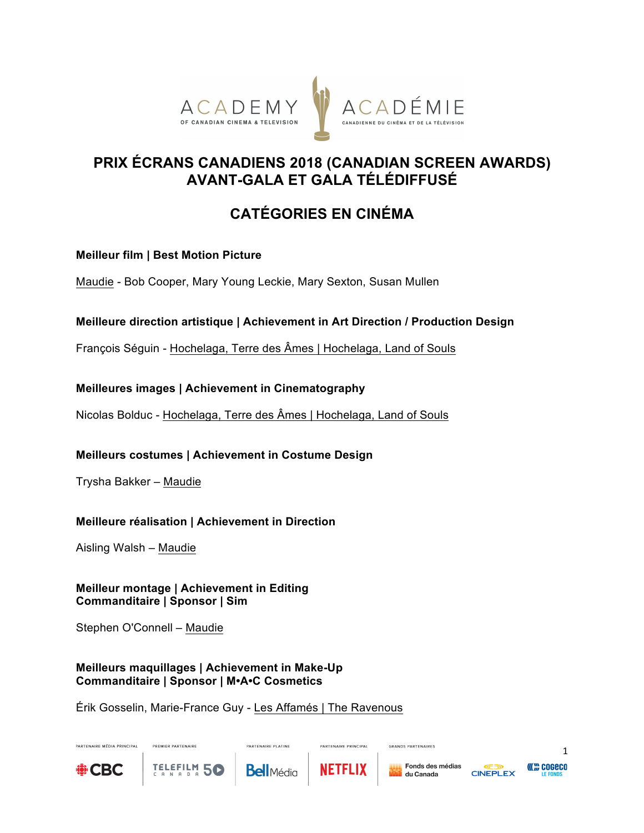

# **PRIX ÉCRANS CANADIENS 2018 (CANADIAN SCREEN AWARDS) AVANT-GALA ET GALA TÉLÉDIFFUSÉ**

# **CATÉGORIES EN CINÉMA**

## **Meilleur film | Best Motion Picture**

Maudie - Bob Cooper, Mary Young Leckie, Mary Sexton, Susan Mullen

## **Meilleure direction artistique | Achievement in Art Direction / Production Design**

François Séguin - Hochelaga, Terre des Âmes | Hochelaga, Land of Souls

## **Meilleures images | Achievement in Cinematography**

Nicolas Bolduc - Hochelaga, Terre des Âmes | Hochelaga, Land of Souls

## **Meilleurs costumes | Achievement in Costume Design**

Trysha Bakker – Maudie

## **Meilleure réalisation | Achievement in Direction**

Aisling Walsh – Maudie

**Meilleur montage | Achievement in Editing Commanditaire | Sponsor | Sim**

Stephen O'Connell – Maudie

**DREMER BARTEMAIRE** 

**TELEFILM 50** 

## **Meilleurs maquillages | Achievement in Make-Up Commanditaire | Sponsor | M•A•C Cosmetics**

Érik Gosselin, Marie-France Guy - Les Affamés | The Ravenous



PARTENAIRE MÉDIA PRINCIPAL

PARTENAIRE PLATINE



PARTENAIRE PRINCIPAL

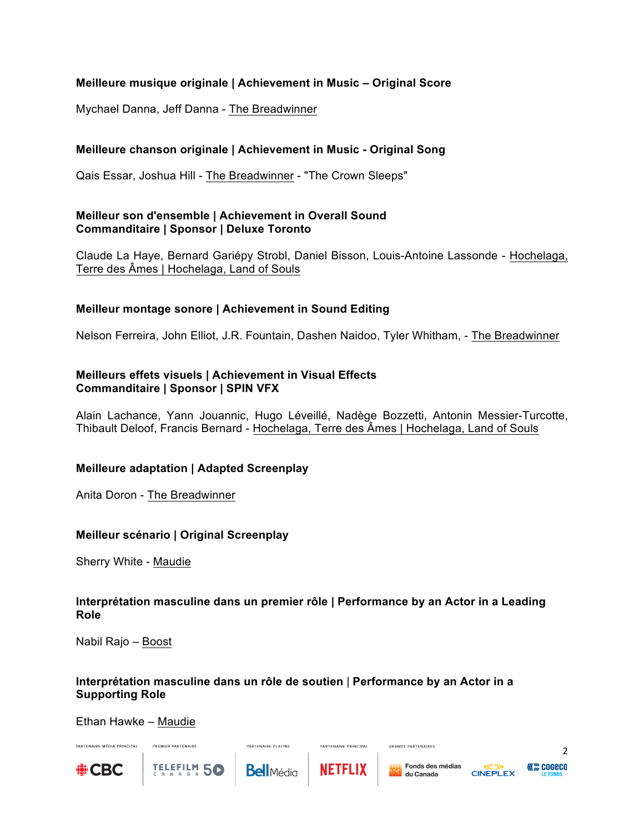## **Meilleure musique originale | Achievement in Music – Original Score**

Mychael Danna, Jeff Danna - The Breadwinner

## **Meilleure chanson originale | Achievement in Music - Original Song**

Qais Essar, Joshua Hill - The Breadwinner - "The Crown Sleeps"

## **Meilleur son d'ensemble | Achievement in Overall Sound Commanditaire | Sponsor | Deluxe Toronto**

Claude La Haye, Bernard Gariépy Strobl, Daniel Bisson, Louis-Antoine Lassonde - Hochelaga, Terre des Âmes | Hochelaga, Land of Souls

## **Meilleur montage sonore | Achievement in Sound Editing**

Nelson Ferreira, John Elliot, J.R. Fountain, Dashen Naidoo, Tyler Whitham, - The Breadwinner

#### **Meilleurs effets visuels | Achievement in Visual Effects Commanditaire | Sponsor | SPIN VFX**

Alain Lachance, Yann Jouannic, Hugo Léveillé, Nadège Bozzetti, Antonin Messier-Turcotte, Thibault Deloof, Francis Bernard - Hochelaga, Terre des Âmes | Hochelaga, Land of Souls

## **Meilleure adaptation | Adapted Screenplay**

Anita Doron - The Breadwinner

## **Meilleur scénario | Original Screenplay**

Sherry White - Maudie

#### **Interprétation masculine dans un premier rôle | Performance by an Actor in a Leading Role**

Nabil Rajo – Boost

#### **Interprétation masculine dans un rôle de soutien** | **Performance by an Actor in a Supporting Role**

Ethan Hawke – Maudie

PREMIER PARTENAIRE

TELEFILM 50



PARTENAIRE MÉDIA PRINCIPAL

**Bell**Média

PARTENAIRE PLATINE



PARTENAIRE PRINCIPAL

GRANDS PARTENAIRES



 $\mathfrak{Z}$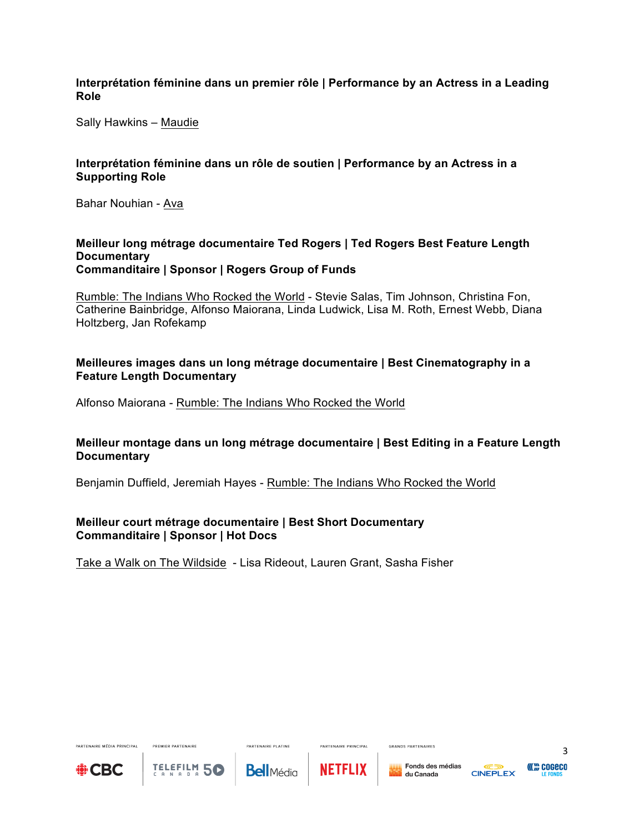#### **Interprétation féminine dans un premier rôle | Performance by an Actress in a Leading Role**

Sally Hawkins – Maudie

#### **Interprétation féminine dans un rôle de soutien | Performance by an Actress in a Supporting Role**

Bahar Nouhian - Ava

#### **Meilleur long métrage documentaire Ted Rogers | Ted Rogers Best Feature Length Documentary Commanditaire | Sponsor | Rogers Group of Funds**

Rumble: The Indians Who Rocked the World - Stevie Salas, Tim Johnson, Christina Fon, Catherine Bainbridge, Alfonso Maiorana, Linda Ludwick, Lisa M. Roth, Ernest Webb, Diana Holtzberg, Jan Rofekamp

## **Meilleures images dans un long métrage documentaire | Best Cinematography in a Feature Length Documentary**

Alfonso Maiorana - Rumble: The Indians Who Rocked the World

## **Meilleur montage dans un long métrage documentaire | Best Editing in a Feature Length Documentary**

Benjamin Duffield, Jeremiah Hayes - Rumble: The Indians Who Rocked the World

## **Meilleur court métrage documentaire | Best Short Documentary Commanditaire | Sponsor | Hot Docs**

Take a Walk on The Wildside - Lisa Rideout, Lauren Grant, Sasha Fisher



PARTENAIRE MÉDIA PRINCIPAL

PREMIER PARTENAIRE

**PARTENAIRE PLATINE** 



PARTENAIRE PRINCIPAL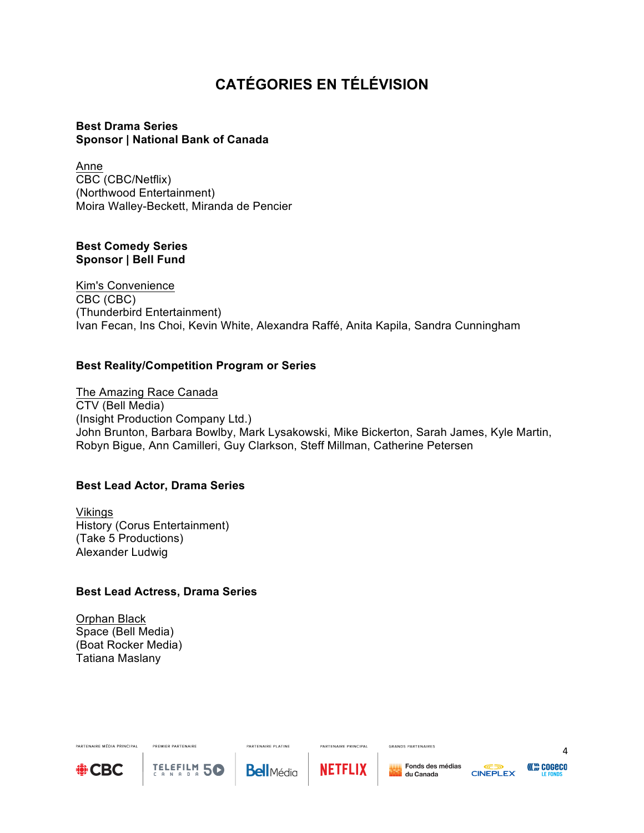# **CATÉGORIES EN TÉLÉVISION**

## **Best Drama Series Sponsor | National Bank of Canada**

Anne CBC (CBC/Netflix) (Northwood Entertainment) Moira Walley-Beckett, Miranda de Pencier

#### **Best Comedy Series Sponsor | Bell Fund**

Kim's Convenience CBC (CBC) (Thunderbird Entertainment) Ivan Fecan, Ins Choi, Kevin White, Alexandra Raffé, Anita Kapila, Sandra Cunningham

## **Best Reality/Competition Program or Series**

The Amazing Race Canada CTV (Bell Media) (Insight Production Company Ltd.) John Brunton, Barbara Bowlby, Mark Lysakowski, Mike Bickerton, Sarah James, Kyle Martin, Robyn Bigue, Ann Camilleri, Guy Clarkson, Steff Millman, Catherine Petersen

## **Best Lead Actor, Drama Series**

Vikings History (Corus Entertainment) (Take 5 Productions) Alexander Ludwig

#### **Best Lead Actress, Drama Series**

PREMIER PARTENAIRE

TELEFILM 50

Orphan Black Space (Bell Media) (Boat Rocker Media) Tatiana Maslany



PARTENAIRE MÉDIA PRINCIPAL

**Bell**Média

**PARTENAIRE PLATINE** 



PARTENAIRE PRINCIPAL



GRANDS PARTENAIRES

4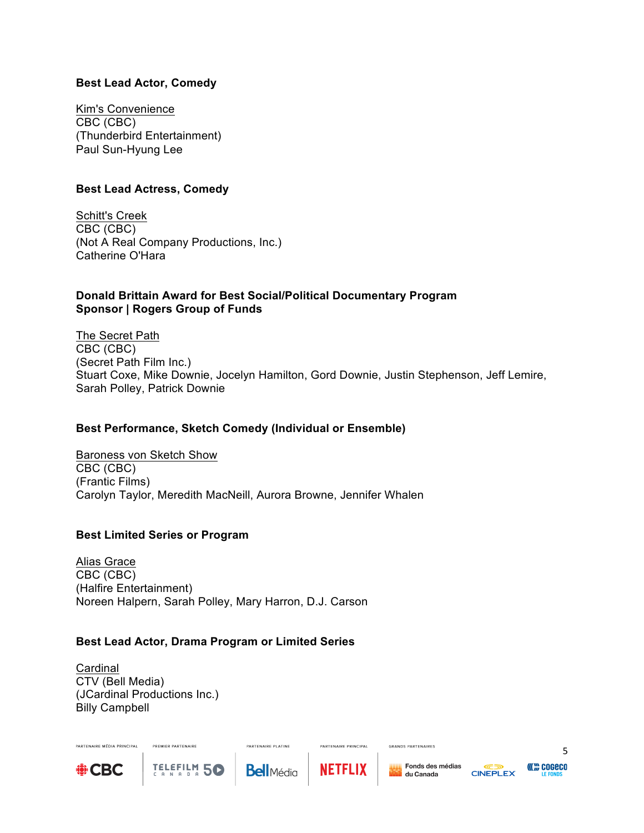#### **Best Lead Actor, Comedy**

Kim's Convenience CBC (CBC) (Thunderbird Entertainment) Paul Sun-Hyung Lee

#### **Best Lead Actress, Comedy**

Schitt's Creek CBC (CBC) (Not A Real Company Productions, Inc.) Catherine O'Hara

#### **Donald Brittain Award for Best Social/Political Documentary Program Sponsor | Rogers Group of Funds**

The Secret Path CBC (CBC) (Secret Path Film Inc.) Stuart Coxe, Mike Downie, Jocelyn Hamilton, Gord Downie, Justin Stephenson, Jeff Lemire, Sarah Polley, Patrick Downie

## **Best Performance, Sketch Comedy (Individual or Ensemble)**

Baroness von Sketch Show CBC (CBC) (Frantic Films) Carolyn Taylor, Meredith MacNeill, Aurora Browne, Jennifer Whalen

## **Best Limited Series or Program**

Alias Grace CBC (CBC) (Halfire Entertainment) Noreen Halpern, Sarah Polley, Mary Harron, D.J. Carson

## **Best Lead Actor, Drama Program or Limited Series**

Cardinal CTV (Bell Media) (JCardinal Productions Inc.) Billy Campbell

PREMIER PARTENAIRE

TELEFILM 50



PARTENAIRE MÉDIA PRINCIPAL



**PARTENAIRE PLATINE** 



PARTENAIRE PRINCIPAL